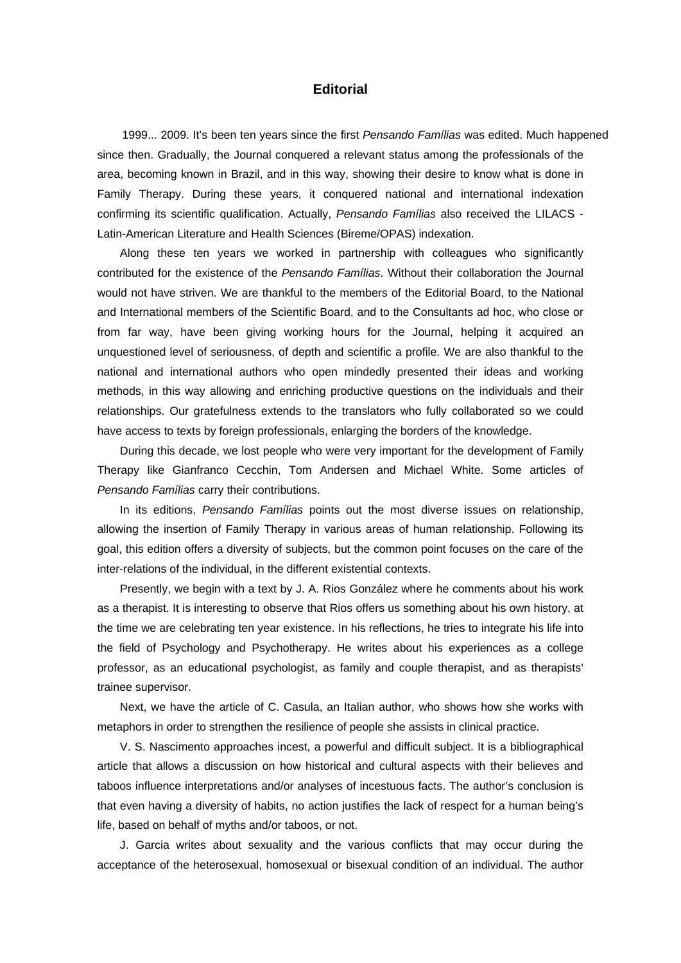## **Editorial**

 1999... 2009. It's been ten years since the first *Pensando Famílias* was edited. Much happened since then. Gradually, the Journal conquered a relevant status among the professionals of the area, becoming known in Brazil, and in this way, showing their desire to know what is done in Family Therapy. During these years, it conquered national and international indexation confirming its scientific qualification. Actually, *Pensando Famílias* also received the LILACS - Latin-American Literature and Health Sciences (Bireme/OPAS) indexation.

Along these ten years we worked in partnership with colleagues who significantly contributed for the existence of the *Pensando Famílias*. Without their collaboration the Journal would not have striven. We are thankful to the members of the Editorial Board, to the National and International members of the Scientific Board, and to the Consultants ad hoc, who close or from far way, have been giving working hours for the Journal, helping it acquired an unquestioned level of seriousness, of depth and scientific a profile. We are also thankful to the national and international authors who open mindedly presented their ideas and working methods, in this way allowing and enriching productive questions on the individuals and their relationships. Our gratefulness extends to the translators who fully collaborated so we could have access to texts by foreign professionals, enlarging the borders of the knowledge.

During this decade, we lost people who were very important for the development of Family Therapy like Gianfranco Cecchin, Tom Andersen and Michael White. Some articles of *Pensando Famílias* carry their contributions.

In its editions, *Pensando Famílias* points out the most diverse issues on relationship, allowing the insertion of Family Therapy in various areas of human relationship. Following its goal, this edition offers a diversity of subjects, but the common point focuses on the care of the inter-relations of the individual, in the different existential contexts.

Presently, we begin with a text by J. A. Rios González where he comments about his work as a therapist. It is interesting to observe that Rios offers us something about his own history, at the time we are celebrating ten year existence. In his reflections, he tries to integrate his life into the field of Psychology and Psychotherapy. He writes about his experiences as a college professor, as an educational psychologist, as family and couple therapist, and as therapists' trainee supervisor.

Next, we have the article of C. Casula, an Italian author, who shows how she works with metaphors in order to strengthen the resilience of people she assists in clinical practice.

V. S. Nascimento approaches incest, a powerful and difficult subject. It is a bibliographical article that allows a discussion on how historical and cultural aspects with their believes and taboos influence interpretations and/or analyses of incestuous facts. The author's conclusion is that even having a diversity of habits, no action justifies the lack of respect for a human being's life, based on behalf of myths and/or taboos, or not.

J. Garcia writes about sexuality and the various conflicts that may occur during the acceptance of the heterosexual, homosexual or bisexual condition of an individual. The author